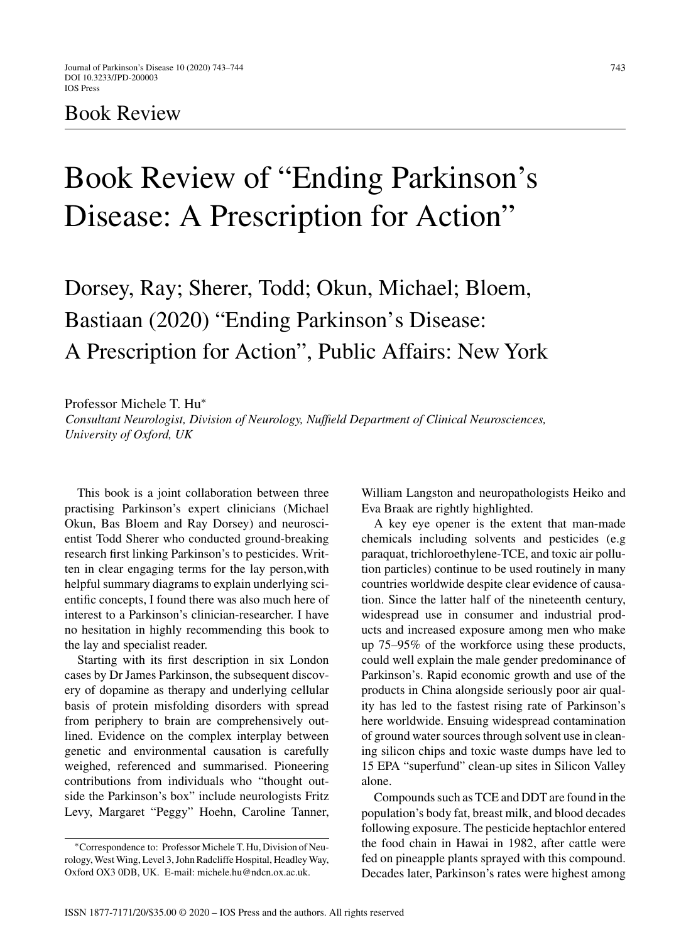## Book Review

## Book Review of "Ending Parkinson's Disease: A Prescription for Action"

Dorsey, Ray; Sherer, Todd; Okun, Michael; Bloem, Bastiaan (2020) "Ending Parkinson's Disease: A Prescription for Action", Public Affairs: New York

Professor Michele T. Hu<sup>∗</sup>

*Consultant Neurologist, Division of Neurology, Nuffield Department of Clinical Neurosciences, University of Oxford, UK*

This book is a joint collaboration between three practising Parkinson's expert clinicians (Michael Okun, Bas Bloem and Ray Dorsey) and neuroscientist Todd Sherer who conducted ground-breaking research first linking Parkinson's to pesticides. Written in clear engaging terms for the lay person,with helpful summary diagrams to explain underlying scientific concepts, I found there was also much here of interest to a Parkinson's clinician-researcher. I have no hesitation in highly recommending this book to the lay and specialist reader.

Starting with its first description in six London cases by Dr James Parkinson, the subsequent discovery of dopamine as therapy and underlying cellular basis of protein misfolding disorders with spread from periphery to brain are comprehensively outlined. Evidence on the complex interplay between genetic and environmental causation is carefully weighed, referenced and summarised. Pioneering contributions from individuals who "thought outside the Parkinson's box" include neurologists Fritz Levy, Margaret "Peggy" Hoehn, Caroline Tanner, William Langston and neuropathologists Heiko and Eva Braak are rightly highlighted.

A key eye opener is the extent that man-made chemicals including solvents and pesticides (e.g paraquat, trichloroethylene-TCE, and toxic air pollution particles) continue to be used routinely in many countries worldwide despite clear evidence of causation. Since the latter half of the nineteenth century, widespread use in consumer and industrial products and increased exposure among men who make up 75–95% of the workforce using these products, could well explain the male gender predominance of Parkinson's. Rapid economic growth and use of the products in China alongside seriously poor air quality has led to the fastest rising rate of Parkinson's here worldwide. Ensuing widespread contamination of ground water sources through solvent use in cleaning silicon chips and toxic waste dumps have led to 15 EPA "superfund" clean-up sites in Silicon Valley alone.

Compounds such as TCE and DDT are found in the population's body fat, breast milk, and blood decades following exposure. The pesticide heptachlor entered the food chain in Hawai in 1982, after cattle were fed on pineapple plants sprayed with this compound. Decades later, Parkinson's rates were highest among

<sup>∗</sup>Correspondence to: Professor Michele T. Hu, Division of Neurology, West Wing, Level 3, John Radcliffe Hospital, Headley Way, Oxford OX3 0DB, UK. E-mail: [michele.hu@ndcn.ox.ac.uk.](mailto:michele.hu@ndcn.ox.ac.uk)